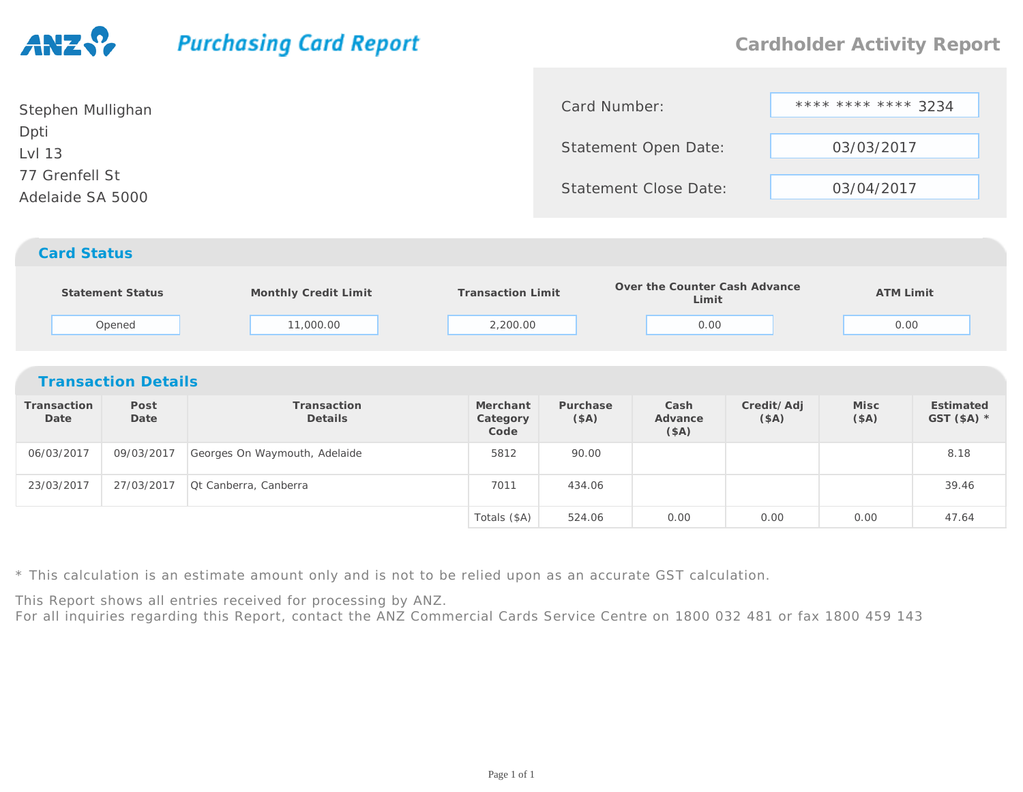## **Purchasing Card Report**

| Stephen Mullighan                  | Card Number:                 | **** **** **** 3234 |
|------------------------------------|------------------------------|---------------------|
| Dpti<br>Lvl 13                     | <b>Statement Open Date:</b>  | 03/03/2017          |
| 77 Grenfell St<br>Adelaide SA 5000 | <b>Statement Close Date:</b> | 03/04/2017          |
| <b>Card Status</b>                 |                              |                     |

|                            | Statement Status<br>Opened | Monthly Credit Limit<br>11,000.00 |  | <b>Transaction Limit</b><br>2,200.00 |                  |  | Over the Counter Cash Advance<br>Limit<br>0.00 |                    | <b>ATM Limit</b><br>0.00 |                           |  |  |
|----------------------------|----------------------------|-----------------------------------|--|--------------------------------------|------------------|--|------------------------------------------------|--------------------|--------------------------|---------------------------|--|--|
| <b>Transaction Details</b> |                            |                                   |  |                                      |                  |  |                                                |                    |                          |                           |  |  |
| Transaction<br>Date        | Post<br>Date               | Transaction<br><b>Details</b>     |  | Merchant<br>Category<br>Code         | Purchase<br>(SA) |  | Cash<br>Advance<br>(SA)                        | Credit/Adj<br>(SA) | Misc<br>(§A)             | Estimated<br>GST $(SA)$ * |  |  |
| 06/03/2017                 | 09/03/2017                 | Georges On Waymouth, Adelaide     |  | 5812                                 | 90.00            |  |                                                |                    |                          | 8.18                      |  |  |
| 23/03/2017                 | 27/03/2017                 | Ot Canberra, Canberra             |  | 7011                                 | 434.06           |  |                                                |                    |                          | 39.46                     |  |  |
|                            |                            |                                   |  | Totals (\$A)                         | 524.06           |  | 0.00                                           | 0.00               | 0.00                     | 47.64                     |  |  |

\* This calculation is an estimate amount only and is not to be relied upon as an accurate GST calculation.

This Report shows all entries received for processing by ANZ.

For all inquiries regarding this Report, contact the ANZ Commercial Cards Service Centre on 1800 032 481 or fax 1800 459 143